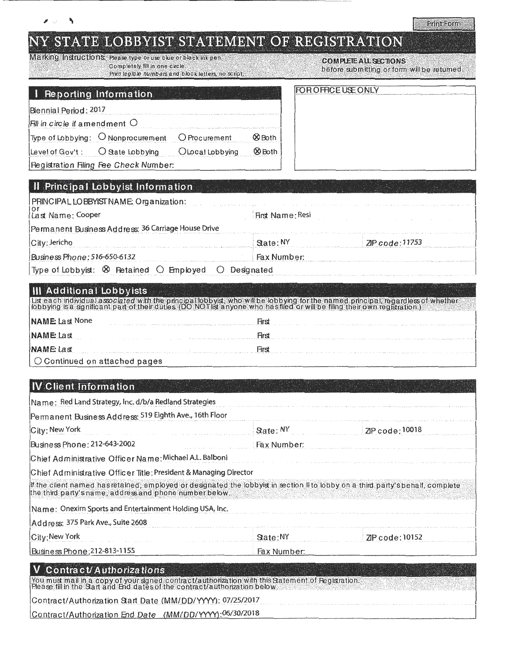|                            |                                                                                       |      | BBYIST STATEMENT OF REGISTRATION                                          | Print Form |
|----------------------------|---------------------------------------------------------------------------------------|------|---------------------------------------------------------------------------|------------|
| pletely fill in one circle | e type or use blue or black ink pen.<br>legible numbers and block letters, no script, |      | <b>COMPLETALL SECTIONS</b><br>before submitting or form will be returned. |            |
| n <b>ation</b>             |                                                                                       |      | FOR OFFICE USE ONLY                                                       |            |
| t C<br>procurement         | Procurement                                                                           | Both |                                                                           |            |

|  | IY STATE LOBBYIST STATEMENT OF REGISTRA |
|--|-----------------------------------------|

**METRING INSTITUTIONS PORC** Com Print

|  |  |  | Reporting Information |  |
|--|--|--|-----------------------|--|
|  |  |  |                       |  |

|  | Biennia i Period : 2017 |  |
|--|-------------------------|--|

|  | Fill in circle if amendment                                                                                       |  |  |  |
|--|-------------------------------------------------------------------------------------------------------------------|--|--|--|
|  |                                                                                                                   |  |  |  |
|  | The second complete state of the second complete the second complete that the second complete the second complete |  |  |  |

Type of Lobbying: O Nonprocurement O Procurement

O State Lobbying OLocal Lobbying

**ØBoth** Level of Gov't :

Registration Filing Fee Check Number:

| <b>Il Principal Lobbyist Information</b>                                       |                  |                                                                                                                                    |
|--------------------------------------------------------------------------------|------------------|------------------------------------------------------------------------------------------------------------------------------------|
| PRINCIPAL LOBBYIST NAME: Organization:<br>Last Name: Cooper                    | First Name: Resi |                                                                                                                                    |
| Permanent Business Address: 36 Carriage House Drive                            |                  |                                                                                                                                    |
| City: Jericho                                                                  | State: NY        | ZP code: 11753                                                                                                                     |
| Business Phone: 516-650-6132                                                   | Fax Number:      |                                                                                                                                    |
| Type of Lobbyist: $\otimes$ Retained $\bigcirc$ Employed $\bigcirc$ Designated |                  | The continued and the continued and the interference and the fitter continued to the fitter and the fitter of the continued by the |

. III. Additional Lobbyists<br>Discarch individual associated with the principal bobyis, who will be lobbying for the named phocipal, regardless of whether<br>Tobbying is a significant part of their duties (DO NOT is anyone who

| $N$ AME Last None                            | The company of the property and all the second company of the second company of the second company of the company of the second company of the second company of the second company of the second company of the second compan |
|----------------------------------------------|--------------------------------------------------------------------------------------------------------------------------------------------------------------------------------------------------------------------------------|
| NAME Last                                    |                                                                                                                                                                                                                                |
| <b>NAME</b> Last                             | Hrs                                                                                                                                                                                                                            |
| $\vert \bigcirc$ Continued on attached pages |                                                                                                                                                                                                                                |

# **IV** Client Information

| Name: Red Land Strategy, Inc. d/b/a Redland Strategies                                                                                                                                                                                                                                                                             |               |                |
|------------------------------------------------------------------------------------------------------------------------------------------------------------------------------------------------------------------------------------------------------------------------------------------------------------------------------------|---------------|----------------|
| Permanent Business Address: 519 Eighth Ave., 16th Floor                                                                                                                                                                                                                                                                            |               |                |
| City: New York                                                                                                                                                                                                                                                                                                                     | State: NY     | ZP code: 10018 |
| Business Phone: 212-643-2002                                                                                                                                                                                                                                                                                                       | : Fax Number: |                |
| Chief Administrative Officer Name: Michael A.L. Balboni                                                                                                                                                                                                                                                                            |               |                |
| Chief Administrative Officer Title: President & Managing Director                                                                                                                                                                                                                                                                  |               |                |
| If the client named has retained, employed or designated the lobbyist in section II to lobby on a third party's behalf, complete<br>the third party's name, address and phone number below.                                                                                                                                        |               |                |
| Name: Onexim Sports and Entertainment Holding USA, Inc.                                                                                                                                                                                                                                                                            |               |                |
| Address: 375 Park Ave., Suite 2608                                                                                                                                                                                                                                                                                                 |               |                |
| City: New York                                                                                                                                                                                                                                                                                                                     | State:NY      | ZP code: 10152 |
| Business Phone: 212-813-1155                                                                                                                                                                                                                                                                                                       | Fax Number:   |                |
| $\mathbf{V}$ $\mathbf{A}$ $\mathbf{V}$ $\mathbf{A}$ $\mathbf{V}$ $\mathbf{A}$ $\mathbf{V}$ $\mathbf{A}$ $\mathbf{V}$ $\mathbf{V}$ $\mathbf{V}$ $\mathbf{V}$ $\mathbf{V}$ $\mathbf{V}$ $\mathbf{V}$ $\mathbf{V}$ $\mathbf{V}$ $\mathbf{V}$ $\mathbf{V}$ $\mathbf{V}$ $\mathbf{V}$ $\mathbf{V}$ $\mathbf{V}$ $\mathbf{V}$ $\mathbf{$ |               |                |

| V Contract/Authorizations                                                                                                                                                       |  |
|---------------------------------------------------------------------------------------------------------------------------------------------------------------------------------|--|
| You must mail in a copy of your signed contract/authorization with this Satement of Registration.<br>Please fill in the Sart and End dates of the contract/authorization below. |  |
| Contract/Authorization Start Date (MM/DD/YYYY): 07/25/2017                                                                                                                      |  |
| Contract/Authorization End Date (MM/DD/YYYY):06/30/2018                                                                                                                         |  |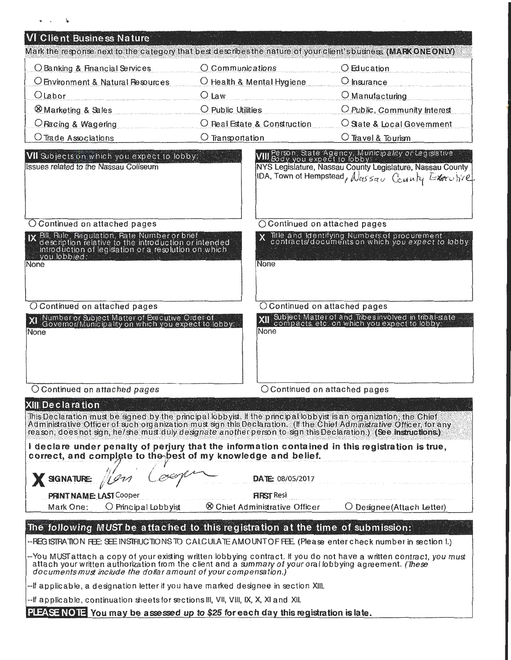| VI Client Business Nature                                                                                                                                                                                                                                                                                                                                                                                                                                                                                                                                                                                      |                                           |                                                                                                                                                                                                            |
|----------------------------------------------------------------------------------------------------------------------------------------------------------------------------------------------------------------------------------------------------------------------------------------------------------------------------------------------------------------------------------------------------------------------------------------------------------------------------------------------------------------------------------------------------------------------------------------------------------------|-------------------------------------------|------------------------------------------------------------------------------------------------------------------------------------------------------------------------------------------------------------|
| Mark the response next to the category that best describes the nature of your client's business. (MARK ONE ONLY)                                                                                                                                                                                                                                                                                                                                                                                                                                                                                               |                                           |                                                                                                                                                                                                            |
| O Banking & Financial Services                                                                                                                                                                                                                                                                                                                                                                                                                                                                                                                                                                                 | O Communications                          | $\bigcirc$ Education                                                                                                                                                                                       |
| O Environment & Natural Resources                                                                                                                                                                                                                                                                                                                                                                                                                                                                                                                                                                              | $\bigcirc$ Health & Mental Hygiene        | $\bigcirc$ insurance                                                                                                                                                                                       |
| $O$ Labor                                                                                                                                                                                                                                                                                                                                                                                                                                                                                                                                                                                                      | $O$ Law                                   | $\bigcirc$ Manufacturing                                                                                                                                                                                   |
| <b>&amp; Marketing &amp; Sales</b>                                                                                                                                                                                                                                                                                                                                                                                                                                                                                                                                                                             | $\bigcirc$ Public Utilities               | O Public, Community Interest                                                                                                                                                                               |
| O Racing & Wagering                                                                                                                                                                                                                                                                                                                                                                                                                                                                                                                                                                                            | O Real Estate & Construction              | $\bigcirc$ State & Local Government                                                                                                                                                                        |
| $O$ Trade Associations                                                                                                                                                                                                                                                                                                                                                                                                                                                                                                                                                                                         | $\bigcirc$ Transportation                 | $\bigcirc$ Travel & Tourism                                                                                                                                                                                |
| VII Subjects on which you expect to lobby:<br><b>Issues related to the Nassau Coliseum</b>                                                                                                                                                                                                                                                                                                                                                                                                                                                                                                                     |                                           | VIII Person, State Agency, Municipality or Legislative<br>VIII Body you expect to lobby:<br>NYS Legislature, Nassau County Legislature, Nassau County<br>IDA, Town of Hempstead, Noussau County Exercitive |
| O Continued on attached pages                                                                                                                                                                                                                                                                                                                                                                                                                                                                                                                                                                                  | ○ Continued on attached pages             |                                                                                                                                                                                                            |
| IX Bill, Rule, Regulation, Rate Number or brief<br>description relative to the introduction or intended<br>introduction of legislation or a resolution on which<br>vou lobbied:<br>None                                                                                                                                                                                                                                                                                                                                                                                                                        | None                                      | Title and Identifying Numbers of procurement<br>contracts/documents on which you expect to lobby:                                                                                                          |
| O Continued on attached pages                                                                                                                                                                                                                                                                                                                                                                                                                                                                                                                                                                                  |                                           | $\bigcirc$ Continued on attached pages                                                                                                                                                                     |
| Number or Subject Matter of Executive Order of<br>Governor/Municipality on which you expect to lobby:<br>None                                                                                                                                                                                                                                                                                                                                                                                                                                                                                                  | None                                      | Subject Matter of and Tribes involved in tribal-state<br>compacts, etc. on which you expect to lobby:                                                                                                      |
| O Continued on attached pages                                                                                                                                                                                                                                                                                                                                                                                                                                                                                                                                                                                  |                                           | $\bigcirc$ Continued on attached pages                                                                                                                                                                     |
| XIII Declaration $\overline{\phantom{a}}$ . The $\overline{\phantom{a}}$<br>This Declaration must be signed by the principal lobbyist. If the principal lobbyist is an organization, the Chief<br>Administrative Officer of such organization must sign this Declaration. (If the Chief Administrative Officer, for any<br>reason, does not sign, he/she must duly designate another person to sign this Declaration.) (See instructions.)<br>I declare under penalty of perjury that the information contained in this registration is true,<br>correct, and complete to the best of my knowledge and belief. |                                           |                                                                                                                                                                                                            |
| SIGNATURE:                                                                                                                                                                                                                                                                                                                                                                                                                                                                                                                                                                                                     | <b>DATE: 08/05/2017</b>                   |                                                                                                                                                                                                            |
| <b>PRINT NAME: LAST Cooper</b>                                                                                                                                                                                                                                                                                                                                                                                                                                                                                                                                                                                 | <b>FIRST Resi</b>                         |                                                                                                                                                                                                            |
| $\bigcirc$ Principal Lobbyist<br>Mark One:                                                                                                                                                                                                                                                                                                                                                                                                                                                                                                                                                                     | <sup>8</sup> Chief Administrative Officer | $\bigcirc$ Designee (Attach Letter)                                                                                                                                                                        |
| The following MUST be attached to this registration at the time of submission:                                                                                                                                                                                                                                                                                                                                                                                                                                                                                                                                 |                                           |                                                                                                                                                                                                            |
| --REGISTRATION FEE: SEE INSTRUCTIONS TO CALCULATE AMOUNT OF FEE. (Please enter check number in section I.)                                                                                                                                                                                                                                                                                                                                                                                                                                                                                                     |                                           |                                                                                                                                                                                                            |
| --You MUSTattach a copy of your existing written lobbying contract. If you do not have a written contract, you must<br>attach your written authorization from the client and a summary of your oral lobbying agreement. (These<br>documents must include the dollar amount of your compensation.)                                                                                                                                                                                                                                                                                                              |                                           |                                                                                                                                                                                                            |
| --If applicable, a designation letter if you have marked designee in section XIII.                                                                                                                                                                                                                                                                                                                                                                                                                                                                                                                             |                                           |                                                                                                                                                                                                            |
| --If applicable, continuation sheets for sections III, VII, VIII, IX, X, XI and XII.                                                                                                                                                                                                                                                                                                                                                                                                                                                                                                                           |                                           |                                                                                                                                                                                                            |
| PLEASE NOTE You may be assessed up to \$25 for each day this registration is late.                                                                                                                                                                                                                                                                                                                                                                                                                                                                                                                             |                                           |                                                                                                                                                                                                            |

÷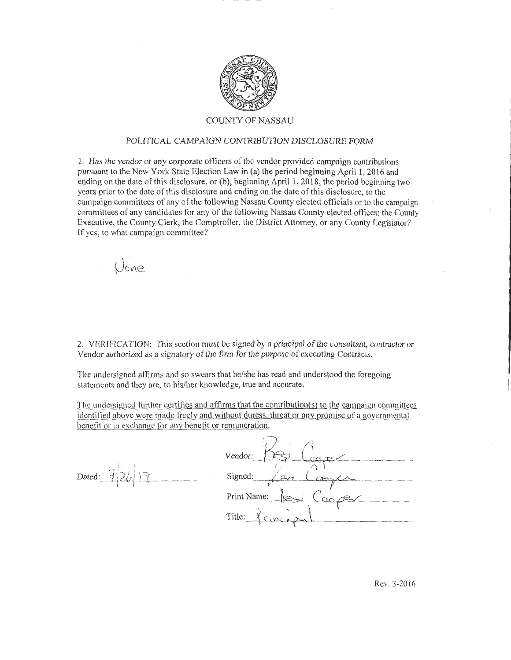

### COUNTY OF NASSAU

#### POLITICAL CAMPAIGN CONTRIBUTION DISCLOSURE FORM

1. Has the vendor or any corporate officers of the vendor provided campaign contributions pursuant to the New York State Election Law in (a) the period beginning Aprill, 2016 and ending on the date ofthis disclosure, or (b), beginning April I, 2018, the period beginning two years prior to the date of this disclosure and ending on the date ofthis disclosure, to the campaign committees of any of the following Nassau County elected officials or to the campaign committees of any candidates for any of the following Nassau County elected offices: the County Executive, the County Clerk, the Comptroller, the District Attorney, or any County Legislator? If yes, to what campaign committee?

Done

2. VERIFlCA TION: This section must be signed by a principal of the consultant, contractor or Vendor authorized as a signatory of the firm for the purpose of executing Contracts.

The undersigned affirms and so swears that he/she has read and understood the foregoing statements and they are, to his/her knowledge, true and accurate.

The undersigned further certifies and affirms that the contribution{s) to the campaign committees identified above were made freely and without duress, threat or any promise of a governmental benefit or in exchange for any benefit or remuneration.

Dated:  $726$ 

| Vendor:                          |
|----------------------------------|
|                                  |
| Signed:                          |
| Print Name:                      |
| Title:<br>maximum change to more |

Rev. 3-2016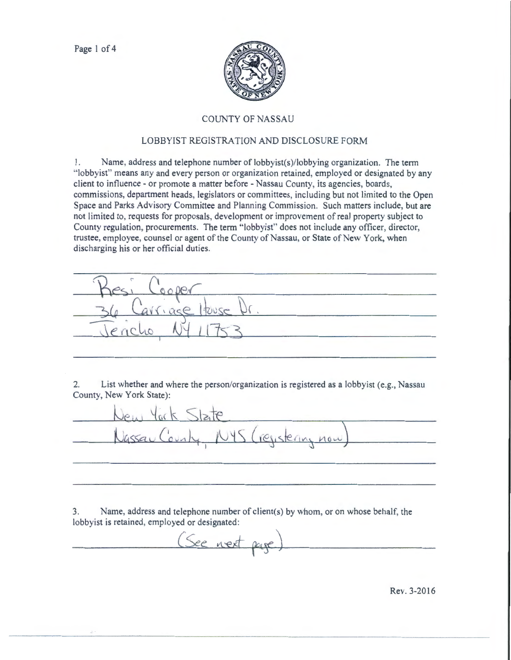

## COUNTY OF NASSAU

# LOBBYIST REGISTRATION AND DISCLOSURE FORM

1. Name, address and telephone number of lobbyist(s)/lobbying organization. The term ·'lobbyist" means any and every person or organization retained, employed or designated by any client to influence - or promote a matter before - Nassau County, its agencies, boards, commissions, department heads, legislators or committees, including but not limited to the Open Space and Parks Advisory Committee and Planning Commission. Such matters include, but are not limited to, requests for proposals, development or improvement of real property subject to County regulation, procurements. The term ·'lobbyist" does not include any officer, director, trustee, employee, counsel or agent of the County of Nassau, or State of New York, when discharging his or her official duties.

TUUSE 

2. List whether and where the person/organization is registered as a lobbyist (e.g., Nassau County, New York State):

resistering now

3. Name, address and telephone number of client(s) by whom, or on whose behalf, the lobbyist is retained, employed or designated:

*See next* page

Rev. 3-2016